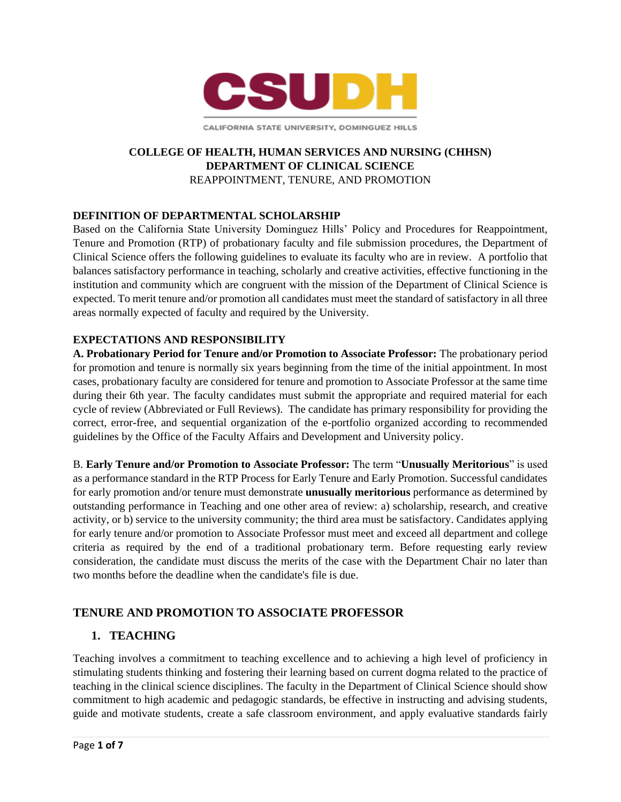

CALIFORNIA STATE UNIVERSITY, DOMINGUEZ HILLS

### **COLLEGE OF HEALTH, HUMAN SERVICES AND NURSING (CHHSN) DEPARTMENT OF CLINICAL SCIENCE**  REAPPOINTMENT, TENURE, AND PROMOTION

## **DEFINITION OF DEPARTMENTAL SCHOLARSHIP**

 Clinical Science offers the following guidelines to evaluate its faculty who are in review. A portfolio that balances satisfactory performance in teaching, scholarly and creative activities, effective functioning in the expected. To merit tenure and/or promotion all candidates must meet the standard of satisfactory in all three areas normally expected of faculty and required by the University. Based on the California State University Dominguez Hills' Policy and Procedures for Reappointment, Tenure and Promotion (RTP) of probationary faculty and file submission procedures, the Department of institution and community which are congruent with the mission of the Department of Clinical Science is

### **EXPECTATIONS AND RESPONSIBILITY**

 **A. Probationary Period for Tenure and/or Promotion to Associate Professor:** The probationary period for promotion and tenure is normally six years beginning from the time of the initial appointment. In most cases, probationary faculty are considered for tenure and promotion to Associate Professor at the same time during their 6th year. The faculty candidates must submit the appropriate and required material for each cycle of review (Abbreviated or Full Reviews). The candidate has primary responsibility for providing the guidelines by the Office of the Faculty Affairs and Development and University policy. correct, error-free, and sequential organization of the e-portfolio organized according to recommended

 B. **Early Tenure and/or Promotion to Associate Professor:** The term "**Unusually Meritorious**" is used as a performance standard in the RTP Process for Early Tenure and Early Promotion. Successful candidates for early promotion and/or tenure must demonstrate **unusually meritorious** performance as determined by outstanding performance in Teaching and one other area of review: a) scholarship, research, and creative activity, or b) service to the university community; the third area must be satisfactory. Candidates applying for early tenure and/or promotion to Associate Professor must meet and exceed all department and college criteria as required by the end of a traditional probationary term. Before requesting early review consideration, the candidate must discuss the merits of the case with the Department Chair no later than two months before the deadline when the candidate's file is due.

# **TENURE AND PROMOTION TO ASSOCIATE PROFESSOR**

# **1. TEACHING**

 Teaching involves a commitment to teaching excellence and to achieving a high level of proficiency in stimulating students thinking and fostering their learning based on current dogma related to the practice of commitment to high academic and pedagogic standards, be effective in instructing and advising students, teaching in the clinical science disciplines. The faculty in the Department of Clinical Science should show guide and motivate students, create a safe classroom environment, and apply evaluative standards fairly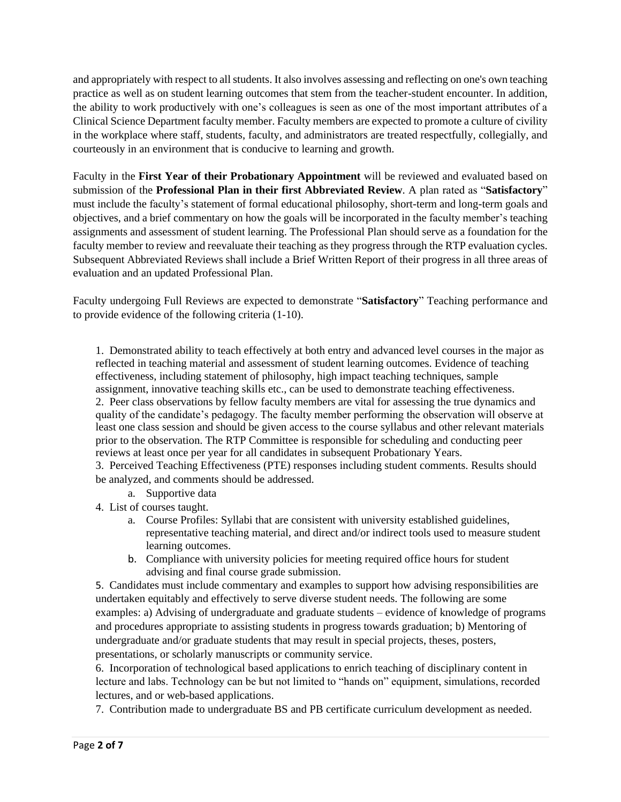and appropriately with respect to all students. It also involves assessing and reflecting on one's own teaching practice as well as on student learning outcomes that stem from the teacher-student encounter. In addition, the ability to work productively with one's colleagues is seen as one of the most important attributes of a Clinical Science Department faculty member. Faculty members are expected to promote a culture of civility in the workplace where staff, students, faculty, and administrators are treated respectfully, collegially, and courteously in an environment that is conducive to learning and growth.

 Faculty in the **First Year of their Probationary Appointment** will be reviewed and evaluated based on submission of the **Professional Plan in their first Abbreviated Review**. A plan rated as "**Satisfactory**" must include the faculty's statement of formal educational philosophy, short-term and long-term goals and objectives, and a brief commentary on how the goals will be incorporated in the faculty member's teaching assignments and assessment of student learning. The Professional Plan should serve as a foundation for the faculty member to review and reevaluate their teaching as they progress through the RTP evaluation cycles. Subsequent Abbreviated Reviews shall include a Brief Written Report of their progress in all three areas of evaluation and an updated Professional Plan.

 to provide evidence of the following criteria (1-10). Faculty undergoing Full Reviews are expected to demonstrate "**Satisfactory**" Teaching performance and

 1. Demonstrated ability to teach effectively at both entry and advanced level courses in the major as reflected in teaching material and assessment of student learning outcomes. Evidence of teaching effectiveness, including statement of philosophy, high impact teaching techniques, sample 2. Peer class observations by fellow faculty members are vital for assessing the true dynamics and quality of the candidate's pedagogy. The faculty member performing the observation will observe at least one class session and should be given access to the course syllabus and other relevant materials prior to the observation. The RTP Committee is responsible for scheduling and conducting peer reviews at least once per year for all candidates in subsequent Probationary Years. assignment, innovative teaching skills etc., can be used to demonstrate teaching effectiveness.

 3. Perceived Teaching Effectiveness (PTE) responses including student comments. Results should be analyzed, and comments should be addressed.

- a. Supportive data
- 4. List of courses taught.
	- representative teaching material, and direct and/or indirect tools used to measure student a. Course Profiles: Syllabi that are consistent with university established guidelines, learning outcomes.
	- b. Compliance with university policies for meeting required office hours for student advising and final course grade submission.

 5. Candidates must include commentary and examples to support how advising responsibilities are examples: a) Advising of undergraduate and graduate students – evidence of knowledge of programs and procedures appropriate to assisting students in progress towards graduation; b) Mentoring of undergraduate and/or graduate students that may result in special projects, theses, posters, presentations, or scholarly manuscripts or community service. undertaken equitably and effectively to serve diverse student needs. The following are some

 6. Incorporation of technological based applications to enrich teaching of disciplinary content in lecture and labs. Technology can be but not limited to "hands on" equipment, simulations, recorded lectures, and or web-based applications.

7. Contribution made to undergraduate BS and PB certificate curriculum development as needed.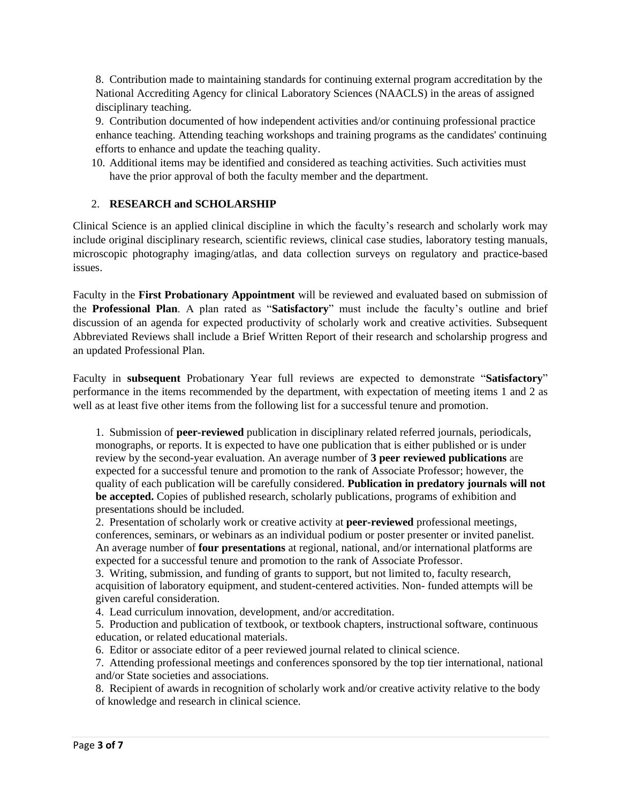8. Contribution made to maintaining standards for continuing external program accreditation by the National Accrediting Agency for clinical Laboratory Sciences (NAACLS) in the areas of assigned disciplinary teaching.

 9. Contribution documented of how independent activities and/or continuing professional practice enhance teaching. Attending teaching workshops and training programs as the candidates' continuing efforts to enhance and update the teaching quality.

 10. Additional items may be identified and considered as teaching activities. Such activities must have the prior approval of both the faculty member and the department.

#### 2. **RESEARCH and SCHOLARSHIP**

 include original disciplinary research, scientific reviews, clinical case studies, laboratory testing manuals, Clinical Science is an applied clinical discipline in which the faculty's research and scholarly work may microscopic photography imaging/atlas, and data collection surveys on regulatory and practice-based issues.

 Faculty in the **First Probationary Appointment** will be reviewed and evaluated based on submission of the **Professional Plan**. A plan rated as "**Satisfactory**" must include the faculty's outline and brief discussion of an agenda for expected productivity of scholarly work and creative activities. Subsequent Abbreviated Reviews shall include a Brief Written Report of their research and scholarship progress and an updated Professional Plan.

 performance in the items recommended by the department, with expectation of meeting items 1 and 2 as well as at least five other items from the following list for a successful tenure and promotion. Faculty in **subsequent** Probationary Year full reviews are expected to demonstrate "**Satisfactory**"

 monographs, or reports. It is expected to have one publication that is either published or is under review by the second-year evaluation. An average number of **3 peer reviewed publications** are expected for a successful tenure and promotion to the rank of Associate Professor; however, the **be accepted.** Copies of published research, scholarly publications, programs of exhibition and presentations should be included. 1. Submission of **peer-reviewed** publication in disciplinary related referred journals, periodicals, quality of each publication will be carefully considered. **Publication in predatory journals will not** 

 2. Presentation of scholarly work or creative activity at **peer-reviewed** professional meetings, conferences, seminars, or webinars as an individual podium or poster presenter or invited panelist. An average number of **four presentations** at regional, national, and/or international platforms are expected for a successful tenure and promotion to the rank of Associate Professor.

 3. Writing, submission, and funding of grants to support, but not limited to, faculty research, acquisition of laboratory equipment, and student-centered activities. Non- funded attempts will be given careful consideration.

4. Lead curriculum innovation, development, and/or accreditation.

 5. Production and publication of textbook, or textbook chapters, instructional software, continuous education, or related educational materials.

6. Editor or associate editor of a peer reviewed journal related to clinical science.

 7. Attending professional meetings and conferences sponsored by the top tier international, national and/or State societies and associations.

 8. Recipient of awards in recognition of scholarly work and/or creative activity relative to the body of knowledge and research in clinical science.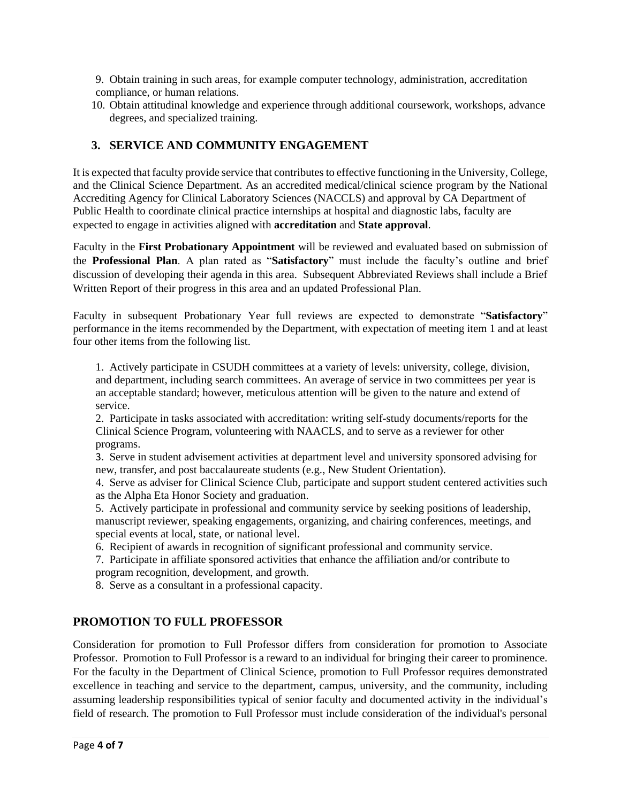9. Obtain training in such areas, for example computer technology, administration, accreditation compliance, or human relations.

 10. Obtain attitudinal knowledge and experience through additional coursework, workshops, advance degrees, and specialized training.

## **3. SERVICE AND COMMUNITY ENGAGEMENT**

 It is expected that faculty provide service that contributes to effective functioning in the University, College, and the Clinical Science Department. As an accredited medical/clinical science program by the National Accrediting Agency for Clinical Laboratory Sciences (NACCLS) and approval by CA Department of Public Health to coordinate clinical practice internships at hospital and diagnostic labs, faculty are expected to engage in activities aligned with **accreditation** and **State approval**.

 Faculty in the **First Probationary Appointment** will be reviewed and evaluated based on submission of the **Professional Plan**. A plan rated as "**Satisfactory**" must include the faculty's outline and brief discussion of developing their agenda in this area. Subsequent Abbreviated Reviews shall include a Brief Written Report of their progress in this area and an updated Professional Plan.

 performance in the items recommended by the Department, with expectation of meeting item 1 and at least Faculty in subsequent Probationary Year full reviews are expected to demonstrate "**Satisfactory**" four other items from the following list.

 1. Actively participate in CSUDH committees at a variety of levels: university, college, division, and department, including search committees. An average of service in two committees per year is an acceptable standard; however, meticulous attention will be given to the nature and extend of service.

 2. Participate in tasks associated with accreditation: writing self-study documents/reports for the Clinical Science Program, volunteering with NAACLS, and to serve as a reviewer for other programs.

 3. Serve in student advisement activities at department level and university sponsored advising for new, transfer, and post baccalaureate students (e.g., New Student Orientation).

 as the Alpha Eta Honor Society and graduation. 4. Serve as adviser for Clinical Science Club, participate and support student centered activities such

 5. Actively participate in professional and community service by seeking positions of leadership, manuscript reviewer, speaking engagements, organizing, and chairing conferences, meetings, and special events at local, state, or national level.

6. Recipient of awards in recognition of significant professional and community service.

 7. Participate in affiliate sponsored activities that enhance the affiliation and/or contribute to program recognition, development, and growth.

8. Serve as a consultant in a professional capacity.

## **PROMOTION TO FULL PROFESSOR**

 Consideration for promotion to Full Professor differs from consideration for promotion to Associate Professor. Promotion to Full Professor is a reward to an individual for bringing their career to prominence. For the faculty in the Department of Clinical Science, promotion to Full Professor requires demonstrated assuming leadership responsibilities typical of senior faculty and documented activity in the individual's field of research. The promotion to Full Professor must include consideration of the individual's personal excellence in teaching and service to the department, campus, university, and the community, including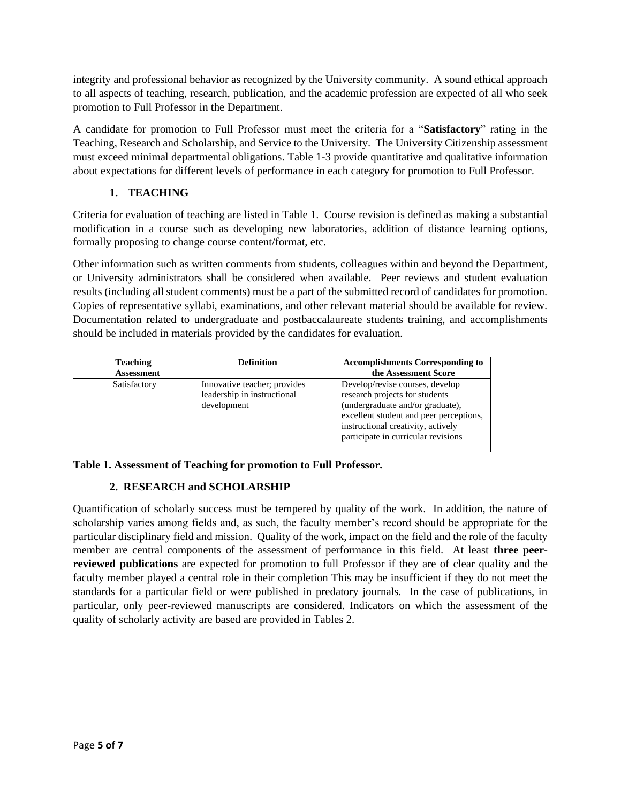to all aspects of teaching, research, publication, and the academic profession are expected of all who seek promotion to Full Professor in the Department. integrity and professional behavior as recognized by the University community. A sound ethical approach

 A candidate for promotion to Full Professor must meet the criteria for a "**Satisfactory**" rating in the Teaching, Research and Scholarship, and Service to the University. The University Citizenship assessment must exceed minimal departmental obligations. Table 1-3 provide quantitative and qualitative information about expectations for different levels of performance in each category for promotion to Full Professor.

## **1. TEACHING**

 Criteria for evaluation of teaching are listed in Table 1. Course revision is defined as making a substantial modification in a course such as developing new laboratories, addition of distance learning options, formally proposing to change course content/format, etc.

 Other information such as written comments from students, colleagues within and beyond the Department, or University administrators shall be considered when available. Peer reviews and student evaluation results (including all student comments) must be a part of the submitted record of candidates for promotion. Copies of representative syllabi, examinations, and other relevant material should be available for review. should be included in materials provided by the candidates for evaluation. Documentation related to undergraduate and postbaccalaureate students training, and accomplishments

| <b>Teaching</b><br><b>Assessment</b> | <b>Definition</b>                                                          | <b>Accomplishments Corresponding to</b><br>the Assessment Score                                                                                                                                                               |
|--------------------------------------|----------------------------------------------------------------------------|-------------------------------------------------------------------------------------------------------------------------------------------------------------------------------------------------------------------------------|
| Satisfactory                         | Innovative teacher; provides<br>leadership in instructional<br>development | Develop/revise courses, develop<br>research projects for students<br>(undergraduate and/or graduate),<br>excellent student and peer perceptions,<br>instructional creativity, actively<br>participate in curricular revisions |

 **Table 1. Assessment of Teaching for promotion to Full Professor.** 

# **2. RESEARCH and SCHOLARSHIP**

 Quantification of scholarly success must be tempered by quality of the work. In addition, the nature of scholarship varies among fields and, as such, the faculty member's record should be appropriate for the particular disciplinary field and mission. Quality of the work, impact on the field and the role of the faculty member are central components of the assessment of performance in this field. At least **three peer- reviewed publications** are expected for promotion to full Professor if they are of clear quality and the faculty member played a central role in their completion This may be insufficient if they do not meet the standards for a particular field or were published in predatory journals. In the case of publications, in particular, only peer-reviewed manuscripts are considered. Indicators on which the assessment of the quality of scholarly activity are based are provided in Tables 2.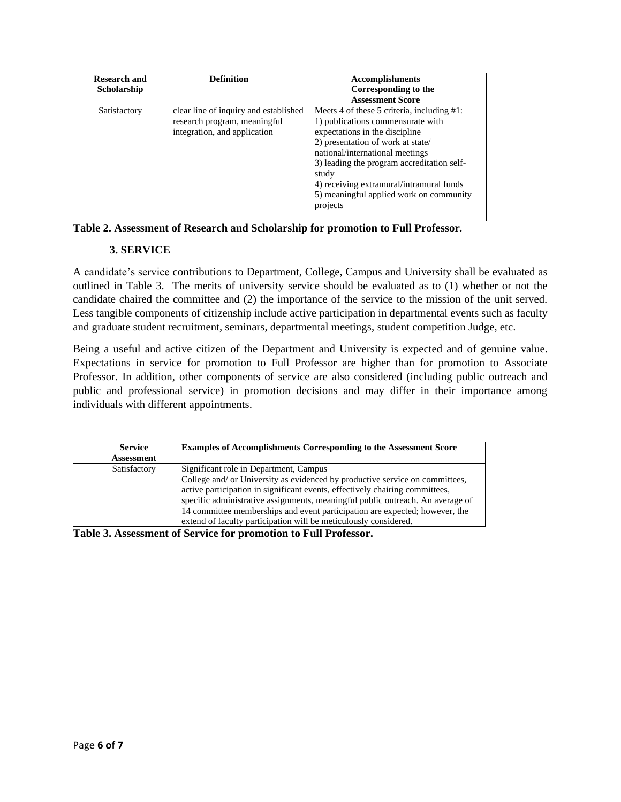| <b>Research and</b><br>Scholarship | <b>Definition</b>                                                                                     | <b>Accomplishments</b><br>Corresponding to the<br><b>Assessment Score</b>                                                                                                                                                                                                                                                                           |
|------------------------------------|-------------------------------------------------------------------------------------------------------|-----------------------------------------------------------------------------------------------------------------------------------------------------------------------------------------------------------------------------------------------------------------------------------------------------------------------------------------------------|
| Satisfactory                       | clear line of inquiry and established<br>research program, meaningful<br>integration, and application | Meets 4 of these 5 criteria, including #1:<br>1) publications commensurate with<br>expectations in the discipline<br>2) presentation of work at state/<br>national/international meetings<br>3) leading the program accreditation self-<br>study<br>4) receiving extramural/intramural funds<br>5) meaningful applied work on community<br>projects |

 **Table 2. Assessment of Research and Scholarship for promotion to Full Professor***.* 

## **3. SERVICE**

 outlined in Table 3. The merits of university service should be evaluated as to (1) whether or not the candidate chaired the committee and (2) the importance of the service to the mission of the unit served. Less tangible components of citizenship include active participation in departmental events such as faculty and graduate student recruitment, seminars, departmental meetings, student competition Judge, etc. A candidate's service contributions to Department, College, Campus and University shall be evaluated as

 Being a useful and active citizen of the Department and University is expected and of genuine value. Expectations in service for promotion to Full Professor are higher than for promotion to Associate Professor. In addition, other components of service are also considered (including public outreach and public and professional service) in promotion decisions and may differ in their importance among individuals with different appointments.

| <b>Service</b><br><b>Assessment</b> | <b>Examples of Accomplishments Corresponding to the Assessment Score</b>                                                                                                                                                                                                                                                                                                                                                                    |
|-------------------------------------|---------------------------------------------------------------------------------------------------------------------------------------------------------------------------------------------------------------------------------------------------------------------------------------------------------------------------------------------------------------------------------------------------------------------------------------------|
| Satisfactory                        | Significant role in Department, Campus<br>College and/ or University as evidenced by productive service on committees,<br>active participation in significant events, effectively chairing committees,<br>specific administrative assignments, meaningful public outreach. An average of<br>14 committee memberships and event participation are expected; however, the<br>extend of faculty participation will be meticulously considered. |

 **Table 3. Assessment of Service for promotion to Full Professor.**